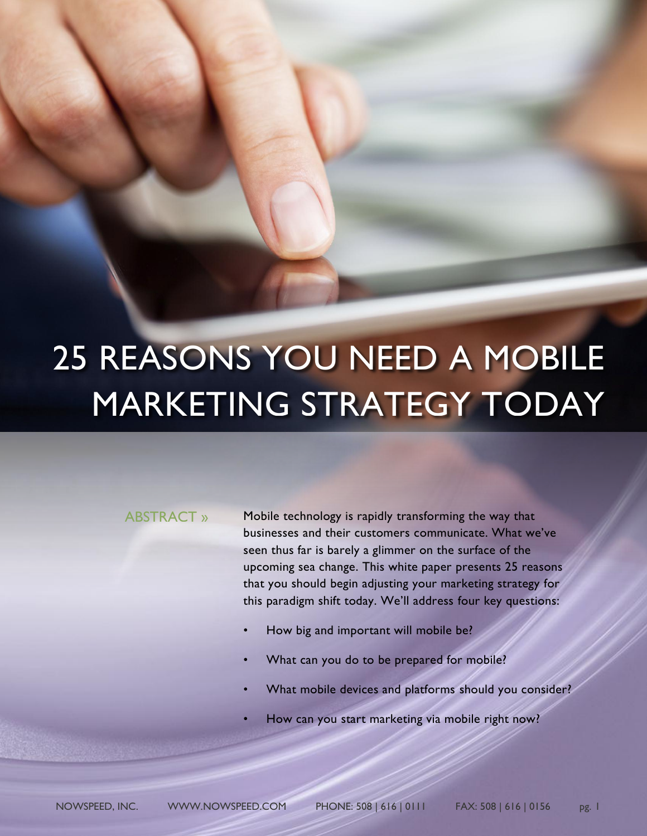# 25 REASONS YOU NEED A MOBILE MARKETING STRATEGY TODAY

## ABSTRACT »

Mobile technology is rapidly transforming the way that businesses and their customers communicate. What we've seen thus far is barely a glimmer on the surface of the upcoming sea change. This white paper presents 25 reasons that you should begin adjusting your marketing strategy for this paradigm shift today. We'll address four key questions:

- How big and important will mobile be?
- What can you do to be prepared for mobile?
- What mobile devices and platforms should you consider?
- How can you start marketing via mobile right now?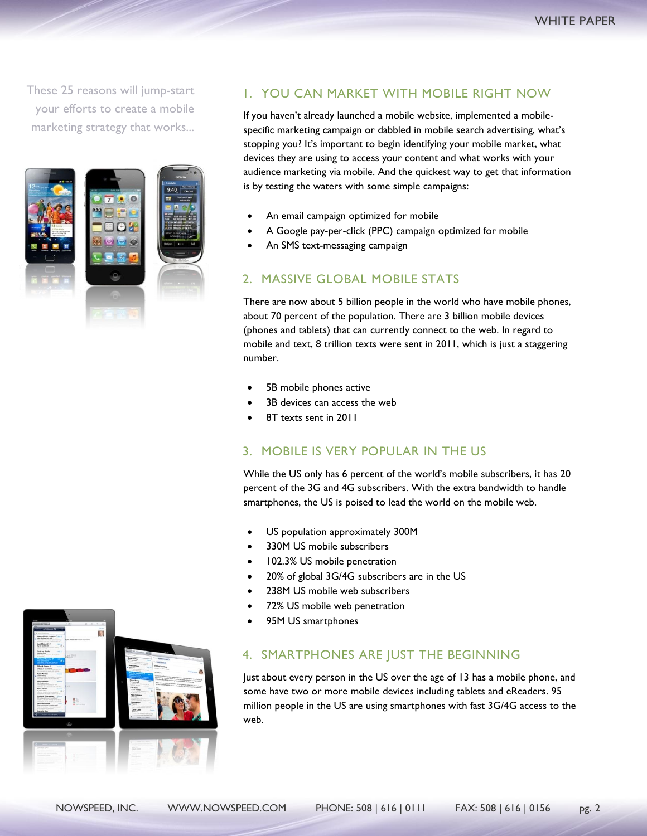These 25 reasons will jump-start your efforts to create a mobile marketing strategy that works...



## 1. YOU CAN MARKET WITH MOBILE RIGHT NOW

If you haven't already launched a mobile website, implemented a mobilespecific marketing campaign or dabbled in mobile search advertising, what's stopping you? It's important to begin identifying your mobile market, what devices they are using to access your content and what works with your audience marketing via mobile. And the quickest way to get that information is by testing the waters with some simple campaigns:

- An email campaign optimized for mobile
- A Google pay-per-click (PPC) campaign optimized for mobile
- An SMS text-messaging campaign

## 2. MASSIVE GLOBAL MOBILE STATS

There are now about 5 billion people in the world who have mobile phones, about 70 percent of the population. There are 3 billion mobile devices (phones and tablets) that can currently connect to the web. In regard to mobile and text, 8 trillion texts were sent in 2011, which is just a staggering number.

- 5B mobile phones active
- 3B devices can access the web
- 8T texts sent in 2011

#### 3. MOBILE IS VERY POPULAR IN THE US

While the US only has 6 percent of the world's mobile subscribers, it has 20 percent of the 3G and 4G subscribers. With the extra bandwidth to handle smartphones, the US is poised to lead the world on the mobile web.

- US population approximately 300M
- 330M US mobile subscribers
- 102.3% US mobile penetration
- 20% of global 3G/4G subscribers are in the US
- 238M US mobile web subscribers
- 72% US mobile web penetration
- 95M US smartphones

#### 4. SMARTPHONES ARE JUST THE BEGINNING

Just about every person in the US over the age of 13 has a mobile phone, and some have two or more mobile devices including tablets and eReaders. 95 million people in the US are using smartphones with fast 3G/4G access to the web.

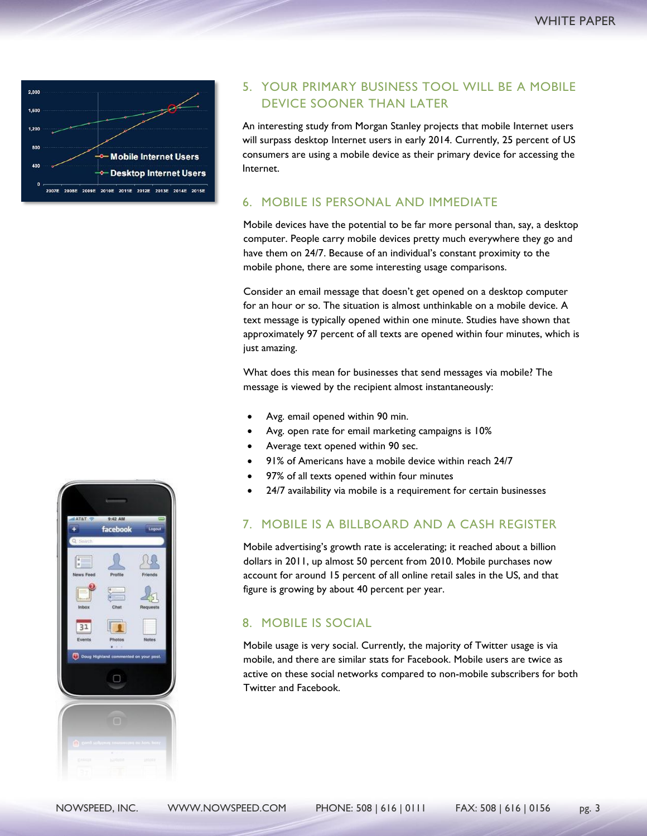

## 5. YOUR PRIMARY BUSINESS TOOL WILL BE A MOBILE DEVICE SOONER THAN LATER

An interesting study from Morgan Stanley projects that mobile Internet users will surpass desktop Internet users in early 2014. Currently, 25 percent of US consumers are using a mobile device as their primary device for accessing the Internet.

#### 6. MOBILE IS PERSONAL AND IMMEDIATE

Mobile devices have the potential to be far more personal than, say, a desktop computer. People carry mobile devices pretty much everywhere they go and have them on 24/7. Because of an individual's constant proximity to the mobile phone, there are some interesting usage comparisons.

Consider an email message that doesn't get opened on a desktop computer for an hour or so. The situation is almost unthinkable on a mobile device. A text message is typically opened within one minute. Studies have shown that approximately 97 percent of all texts are opened within four minutes, which is just amazing.

What does this mean for businesses that send messages via mobile? The message is viewed by the recipient almost instantaneously:

- Avg. email opened within 90 min.
- Avg. open rate for email marketing campaigns is 10%
- Average text opened within 90 sec.
- 91% of Americans have a mobile device within reach 24/7
- 97% of all texts opened within four minutes
- 24/7 availability via mobile is a requirement for certain businesses

## 7. MOBILE IS A BILLBOARD AND A CASH REGISTER

Mobile advertising's growth rate is accelerating; it reached about a billion dollars in 2011, up almost 50 percent from 2010. Mobile purchases now account for around 15 percent of all online retail sales in the US, and that figure is growing by about 40 percent per year.

## 8. MOBILE IS SOCIAL

Mobile usage is very social. Currently, the majority of Twitter usage is via mobile, and there are similar stats for Facebook. Mobile users are twice as active on these social networks compared to non-mobile subscribers for both Twitter and Facebook.

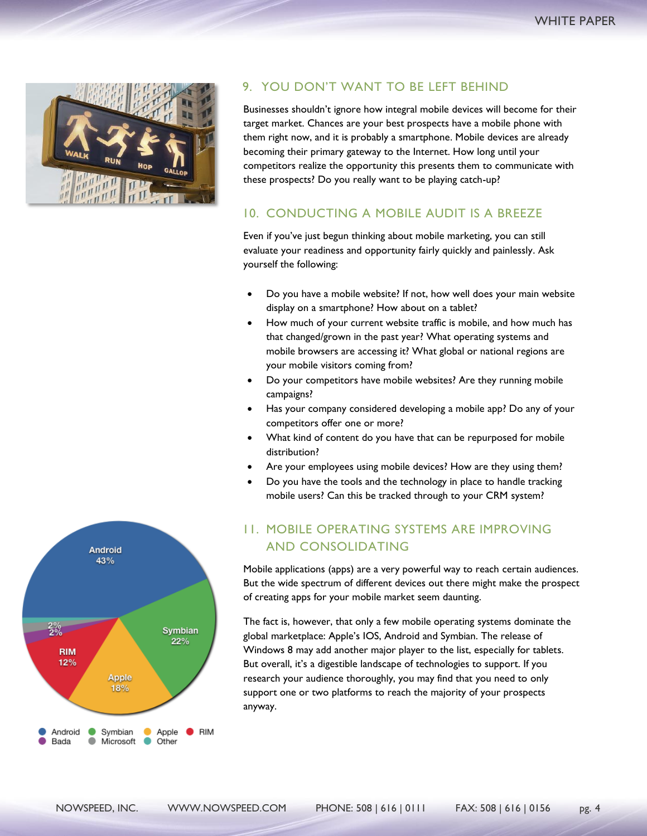

## 9. YOU DON'T WANT TO BE LEFT BEHIND

Businesses shouldn't ignore how integral mobile devices will become for their target market. Chances are your best prospects have a mobile phone with them right now, and it is probably a smartphone. Mobile devices are already becoming their primary gateway to the Internet. How long until your competitors realize the opportunity this presents them to communicate with these prospects? Do you really want to be playing catch-up?

### 10. CONDUCTING A MOBILE AUDIT IS A BREEZE

Even if you've just begun thinking about mobile marketing, you can still evaluate your readiness and opportunity fairly quickly and painlessly. Ask yourself the following:

- Do you have a mobile website? If not, how well does your main website display on a smartphone? How about on a tablet?
- How much of your current website traffic is mobile, and how much has that changed/grown in the past year? What operating systems and mobile browsers are accessing it? What global or national regions are your mobile visitors coming from?
- Do your competitors have mobile websites? Are they running mobile campaigns?
- Has your company considered developing a mobile app? Do any of your competitors offer one or more?
- What kind of content do you have that can be repurposed for mobile distribution?
- Are your employees using mobile devices? How are they using them?
- Do you have the tools and the technology in place to handle tracking mobile users? Can this be tracked through to your CRM system?

# 11. MOBILE OPERATING SYSTEMS ARE IMPROVING AND CONSOLIDATING

Mobile applications (apps) are a very powerful way to reach certain audiences. But the wide spectrum of different devices out there might make the prospect of creating apps for your mobile market seem daunting.

The fact is, however, that only a few mobile operating systems dominate the global marketplace: Apple's IOS, Android and Symbian. The release of Windows 8 may add another major player to the list, especially for tablets. But overall, it's a digestible landscape of technologies to support. If you research your audience thoroughly, you may find that you need to only support one or two platforms to reach the majority of your prospects anyway.

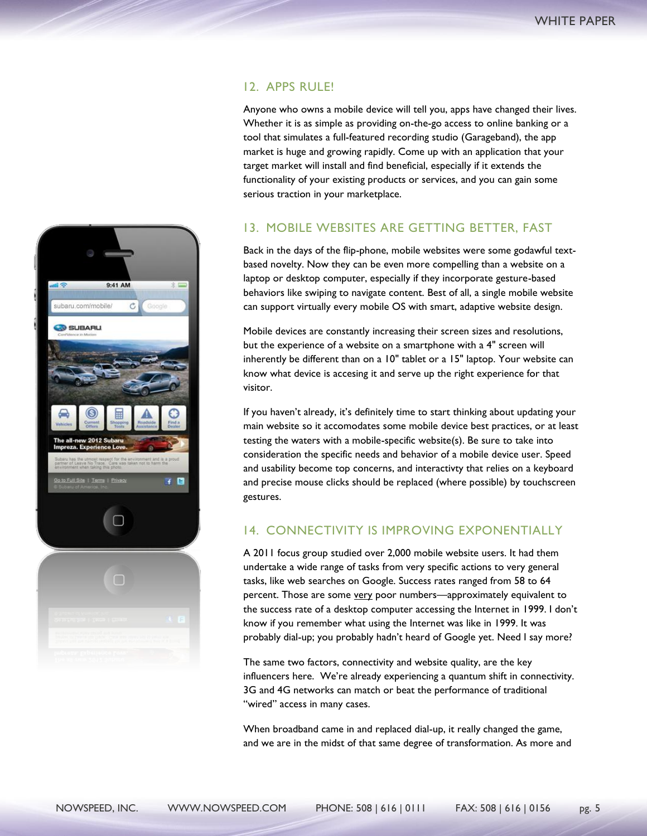## 12. APPS RULE!

Anyone who owns a mobile device will tell you, apps have changed their lives. Whether it is as simple as providing on-the-go access to online banking or a tool that simulates a full-featured recording studio (Garageband), the app market is huge and growing rapidly. Come up with an application that your target market will install and find beneficial, especially if it extends the functionality of your existing products or services, and you can gain some serious traction in your marketplace.

## 13. MOBILE WEBSITES ARE GETTING BETTER, FAST

Back in the days of the flip-phone, mobile websites were some godawful textbased novelty. Now they can be even more compelling than a website on a laptop or desktop computer, especially if they incorporate gesture-based behaviors like swiping to navigate content. Best of all, a single mobile website can support virtually every mobile OS with smart, adaptive website design.

Mobile devices are constantly increasing their screen sizes and resolutions, but the experience of a website on a smartphone with a 4" screen will inherently be different than on a 10" tablet or a 15" laptop. Your website can know what device is accesing it and serve up the right experience for that visitor.

If you haven't already, it's definitely time to start thinking about updating your main website so it accomodates some mobile device best practices, or at least testing the waters with a mobile-specific website(s). Be sure to take into consideration the specific needs and behavior of a mobile device user. Speed and usability become top concerns, and interactivty that relies on a keyboard and precise mouse clicks should be replaced (where possible) by touchscreen gestures.

## 14. CONNECTIVITY IS IMPROVING EXPONENTIALLY

A 2011 focus group studied over 2,000 mobile website users. It had them undertake a wide range of tasks from very specific actions to very general tasks, like web searches on Google. Success rates ranged from 58 to 64 percent. Those are some very poor numbers—approximately equivalent to the success rate of a desktop computer accessing the Internet in 1999. I don't know if you remember what using the Internet was like in 1999. It was probably dial-up; you probably hadn't heard of Google yet. Need I say more?

The same two factors, connectivity and website quality, are the key influencers here. We're already experiencing a quantum shift in connectivity. 3G and 4G networks can match or beat the performance of traditional "wired" access in many cases.

When broadband came in and replaced dial-up, it really changed the game, and we are in the midst of that same degree of transformation. As more and

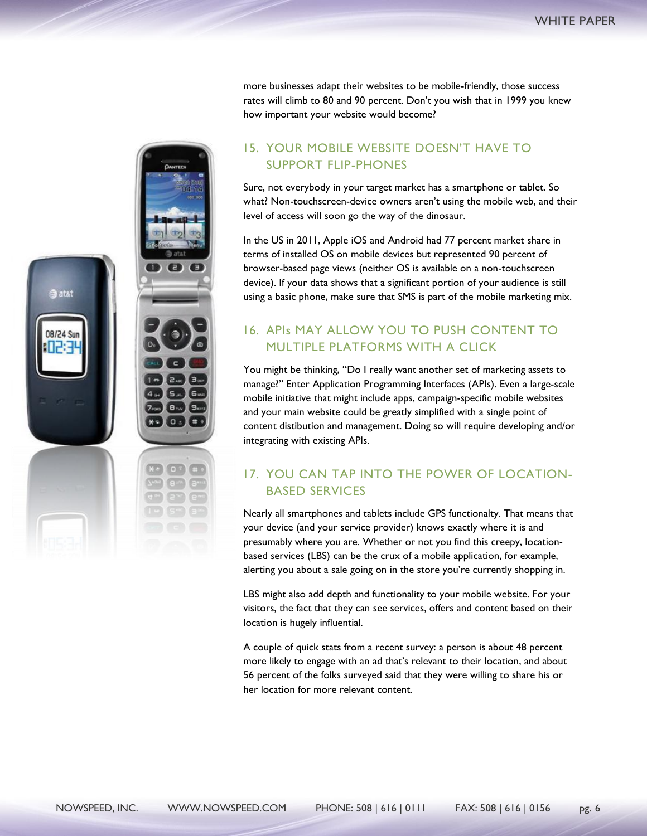more businesses adapt their websites to be mobile-friendly, those success rates will climb to 80 and 90 percent. Don't you wish that in 1999 you knew how important your website would become?

## 15. YOUR MOBILE WEBSITE DOESN'T HAVE TO SUPPORT FLIP-PHONES

Sure, not everybody in your target market has a smartphone or tablet. So what? Non-touchscreen-device owners aren't using the mobile web, and their level of access will soon go the way of the dinosaur.

In the US in 2011, Apple iOS and Android had 77 percent market share in terms of installed OS on mobile devices but represented 90 percent of browser-based page views (neither OS is available on a non-touchscreen device). If your data shows that a significant portion of your audience is still using a basic phone, make sure that SMS is part of the mobile marketing mix.

# 16. APIs MAY ALLOW YOU TO PUSH CONTENT TO MULTIPLE PLATFORMS WITH A CLICK

You might be thinking, "Do I really want another set of marketing assets to manage?" Enter Application Programming Interfaces (APIs). Even a large-scale mobile initiative that might include apps, campaign-specific mobile websites and your main website could be greatly simplified with a single point of content distibution and management. Doing so will require developing and/or integrating with existing APIs.

# 17. YOU CAN TAP INTO THE POWER OF LOCATION-BASED SERVICES

Nearly all smartphones and tablets include GPS functionalty. That means that your device (and your service provider) knows exactly where it is and presumably where you are. Whether or not you find this creepy, locationbased services (LBS) can be the crux of a mobile application, for example, alerting you about a sale going on in the store you're currently shopping in.

LBS might also add depth and functionality to your mobile website. For your visitors, the fact that they can see services, offers and content based on their location is hugely influential.

A couple of quick stats from a recent survey: a person is about 48 percent more likely to engage with an ad that's relevant to their location, and about 56 percent of the folks surveyed said that they were willing to share his or her location for more relevant content.

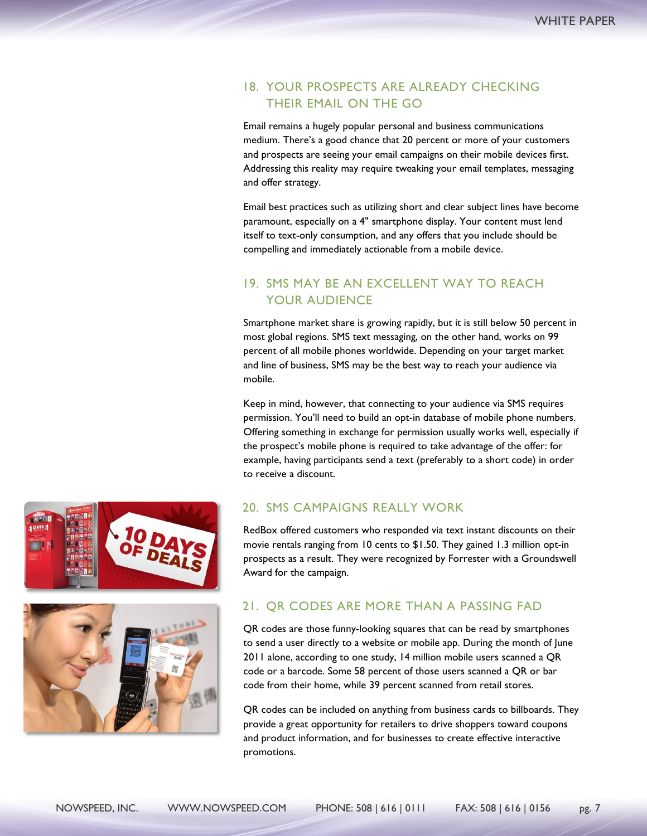## 18. YOUR PROSPECTS ARE ALREADY CHECKING THEIR EMAIL ON THE GO

Email remains a hugely popular personal and business communications medium. There's a good chance that 20 percent or more of your customers and prospects are seeing your email campaigns on their mobile devices first. Addressing this reality may require tweaking your email templates, messaging and offer strategy.

Email best practices such as utilizing short and clear subject lines have become paramount, especially on a 4" smartphone display. Your content must lend itself to text-only consumption, and any offers that you include should be compelling and immediately actionable from a mobile device.

# 19. SMS MAY BE AN EXCELLENT WAY TO REACH YOUR AUDIENCE

Smartphone market share is growing rapidly, but it is still below 50 percent in most global regions. SMS text messaging, on the other hand, works on 99 percent of all mobile phones worldwide. Depending on your target market and line of business, SMS may be the best way to reach your audience via mobile.

Keep in mind, however, that connecting to your audience via SMS requires permission. You'll need to build an opt-in database of mobile phone numbers. Offering something in exchange for permission usually works well, especially if the prospect's mobile phone is required to take advantage of the offer: for example, having participants send a text (preferably to a short code) in order to receive a discount.

## 20. SMS CAMPAIGNS REALLY WORK

RedBox offered customers who responded via text instant discounts on their movie rentals ranging from 10 cents to \$1.50. They gained 1.3 million opt-in prospects as a result. They were recognized by Forrester with a Groundswell Award for the campaign.

## 21. QR CODES ARE MORE THAN A PASSING FAD

QR codes are those funny-looking squares that can be read by smartphones to send a user directly to a website or mobile app. During the month of June 2011 alone, according to one study, 14 million mobile users scanned a QR code or a barcode. Some 58 percent of those users scanned a QR or bar code from their home, while 39 percent scanned from retail stores.

QR codes can be included on anything from business cards to billboards. They provide a great opportunity for retailers to drive shoppers toward coupons and product information, and for businesses to create effective interactive promotions.



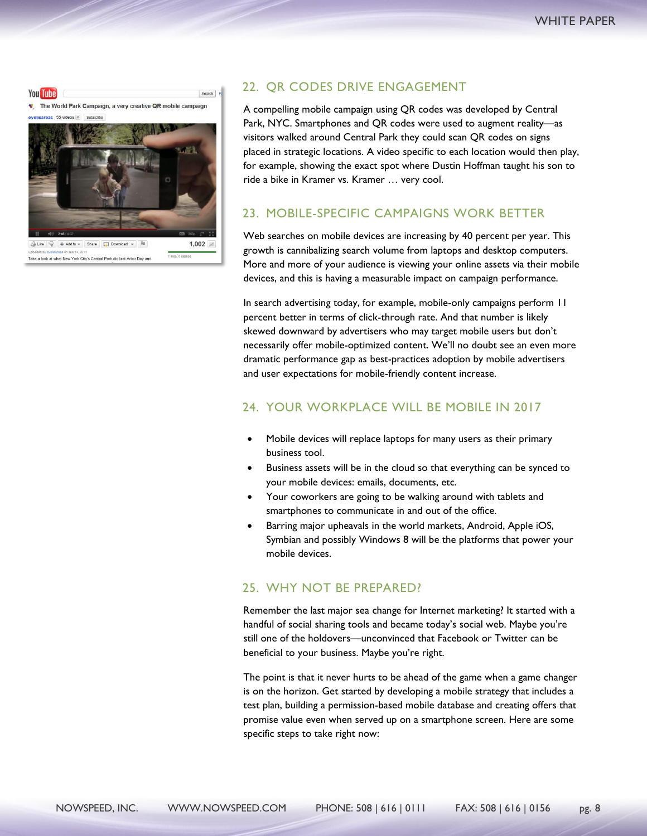

 $1$  Hoss  $0$  d Take a look at what New York City's Central Park did last Arbor Day and

## 22. QR CODES DRIVE ENGAGEMENT

A compelling mobile campaign using QR codes was developed by Central Park, NYC. Smartphones and QR codes were used to augment reality—as visitors walked around Central Park they could scan QR codes on signs placed in strategic locations. A video specific to each location would then play, for example, showing the exact spot where Dustin Hoffman taught his son to ride a bike in Kramer vs. Kramer … very cool.

## 23. MOBILE-SPECIFIC CAMPAIGNS WORK BETTER

Web searches on mobile devices are increasing by 40 percent per year. This growth is cannibalizing search volume from laptops and desktop computers. More and more of your audience is viewing your online assets via their mobile devices, and this is having a measurable impact on campaign performance.

In search advertising today, for example, mobile-only campaigns perform 11 percent better in terms of click-through rate. And that number is likely skewed downward by advertisers who may target mobile users but don't necessarily offer mobile-optimized content. We'll no doubt see an even more dramatic performance gap as best-practices adoption by mobile advertisers and user expectations for mobile-friendly content increase.

## 24. YOUR WORKPLACE WILL BE MOBILE IN 2017

- Mobile devices will replace laptops for many users as their primary business tool.
- Business assets will be in the cloud so that everything can be synced to your mobile devices: emails, documents, etc.
- Your coworkers are going to be walking around with tablets and smartphones to communicate in and out of the office.
- Barring major upheavals in the world markets, Android, Apple iOS, Symbian and possibly Windows 8 will be the platforms that power your mobile devices.

#### 25. WHY NOT BE PREPARED?

Remember the last major sea change for Internet marketing? It started with a handful of social sharing tools and became today's social web. Maybe you're still one of the holdovers—unconvinced that Facebook or Twitter can be beneficial to your business. Maybe you're right.

The point is that it never hurts to be ahead of the game when a game changer is on the horizon. Get started by developing a mobile strategy that includes a test plan, building a permission-based mobile database and creating offers that promise value even when served up on a smartphone screen. Here are some specific steps to take right now: